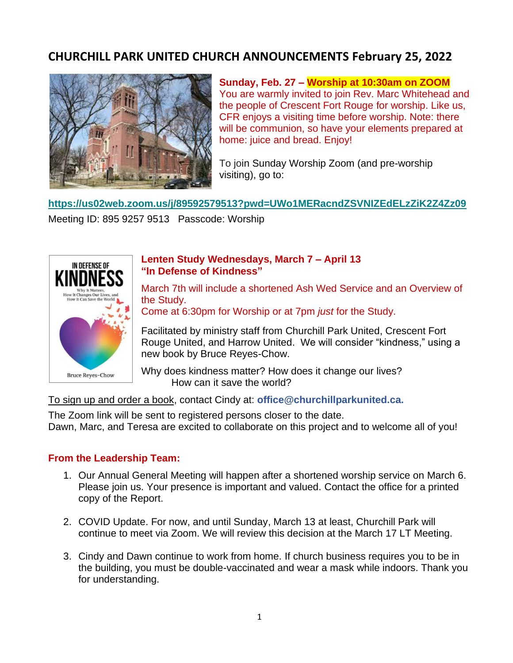# **CHURCHILL PARK UNITED CHURCH ANNOUNCEMENTS February 25, 2022**



**Sunday, Feb. 27 – Worship at 10:30am on ZOOM** You are warmly invited to join Rev. Marc Whitehead and the people of Crescent Fort Rouge for worship. Like us, CFR enjoys a visiting time before worship. Note: there will be communion, so have your elements prepared at home: juice and bread. Enjoy!

To join Sunday Worship Zoom (and pre-worship visiting), go to:

**[https://us02web.zoom.us/j/89592579513?pwd=UWo1MERacndZSVNIZEdELzZiK2Z4Zz09](https://mymts.us1.list-manage.com/track/click?u=694ca9dd6b3951dc737e6bbbe&id=48616bd684&e=36ba688ac6)**

Meeting ID: 895 9257 9513 Passcode: Worship



#### **Lenten Study Wednesdays, March 7 – April 13 "In Defense of Kindness"**

March 7th will include a shortened Ash Wed Service and an Overview of the Study.

Come at 6:30pm for Worship or at 7pm *just* for the Study.

Facilitated by ministry staff from Churchill Park United, Crescent Fort Rouge United, and Harrow United. We will consider "kindness," using a new book by Bruce Reyes-Chow.

Why does kindness matter? How does it change our lives? How can it save the world?

To sign up and order a book, contact Cindy at: **office@churchillparkunited.ca.**

The Zoom link will be sent to registered persons closer to the date. Dawn, Marc, and Teresa are excited to collaborate on this project and to welcome all of you!

### **From the Leadership Team:**

- 1. Our Annual General Meeting will happen after a shortened worship service on March 6. Please join us. Your presence is important and valued. Contact the office for a printed copy of the Report.
- 2. COVID Update. For now, and until Sunday, March 13 at least, Churchill Park will continue to meet via Zoom. We will review this decision at the March 17 LT Meeting.
- 3. Cindy and Dawn continue to work from home. If church business requires you to be in the building, you must be double-vaccinated and wear a mask while indoors. Thank you for understanding.